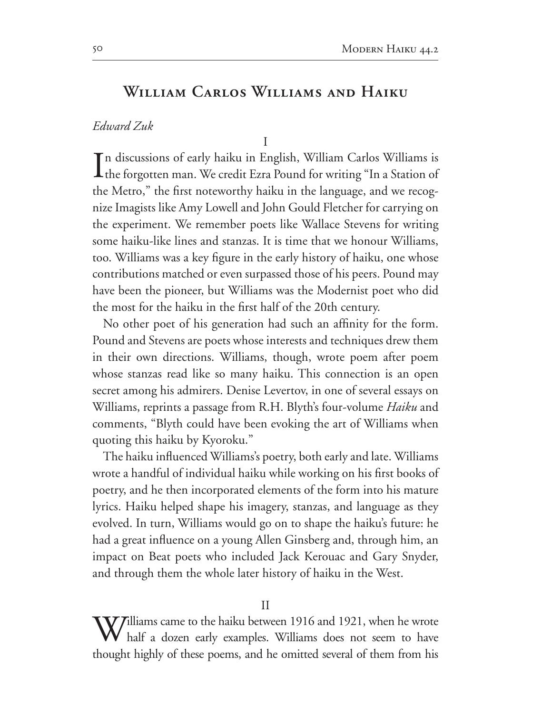## WILLIAM CARLOS WILLIAMS AND HAIKU

Edward Zuk

I

 $\mathbf T$ n discussions of early haiku in English, William Carlos Williams is L the forgotten man. We credit Ezra Pound for writing "In a Station of the Metro," the first noteworthy haiku in the language, and we recognize Imagists like Amy Lowell and John Gould Fletcher for carrying on the experiment. We remember poets like Wallace Stevens for writing some haiku-like lines and stanzas. It is time that we honour Williams, too. Williams was a key figure in the early history of haiku, one whose contributions matched or even surpassed those of his peers. Pound may have been the pioneer, but Williams was the Modernist poet who did the most for the haiku in the first half of the 20th century.

No other poet of his generation had such an affinity for the form. Pound and Stevens are poets whose interests and techniques drew them in their own directions. Williams, though, wrote poem after poem whose stanzas read like so many haiku. This connection is an open secret among his admirers. Denise Levertov, in one of several essays on Williams, reprints a passage from R.H. Blyth's four-volume Haiku and comments, "Blyth could have been evoking the art of Williams when quoting this haiku by Kyoroku."

The haiku influenced Williams's poetry, both early and late. Williams wrote a handful of individual haiku while working on his first books of poetry, and he then incorporated elements of the form into his mature lyrics. Haiku helped shape his imagery, stanzas, and language as they evolved. In turn, Williams would go on to shape the haiku's future: he had a great influence on a young Allen Ginsberg and, through him, an impact on Beat poets who included Jack Kerouac and Gary Snyder, and through them the whole later history of haiku in the West.

 $\bf V$ *T*illiams came to the haiku between 1916 and 1921, when he wrote half a dozen early examples. Williams does not seem to have thought highly of these poems, and he omitted several of them from his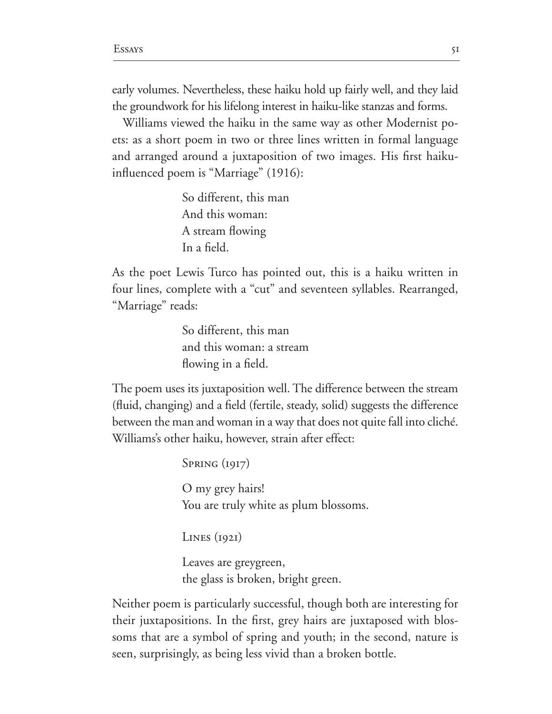early volumes. Nevertheless, these haiku hold up fairly well, and they laid the groundwork for his lifelong interest in haiku-like stanzas and forms.

Williams viewed the haiku in the same way as other Modernist po ets: as a short poem in two or three lines written in formal language and arranged around a juxtaposition of two images. His first haikuinfluenced poem is "Marriage"  $(1916)$ :

> So different, this man And this woman: A stream flowing In a field.

As the poet Lewis Turco has pointed out, this is a haiku written in four lines, complete with a "cut" and seventeen syllables. Rearranged, "Marriage" reads:

> So different, this man and this woman: a stream flowing in a field.

The poem uses its juxtaposition well. The difference between the stream (fluid, changing) and a field (fertile, steady, solid) suggests the difference between the man and woman in a way that does not quite fall into cliché. Williams's other haiku, however, strain after effect:

> Spring (1917) O my grey hairs! You are truly white as plum blossoms.

Lines (1921)

Leaves are greygreen, the glass is broken, bright green.

Neither poem is particularly successful, though both are interesting for their juxtapositions. In the first, grey hairs are juxtaposed with blossoms that are a symbol of spring and youth; in the second, nature is seen, surprisingly, as being less vivid than a broken bottle.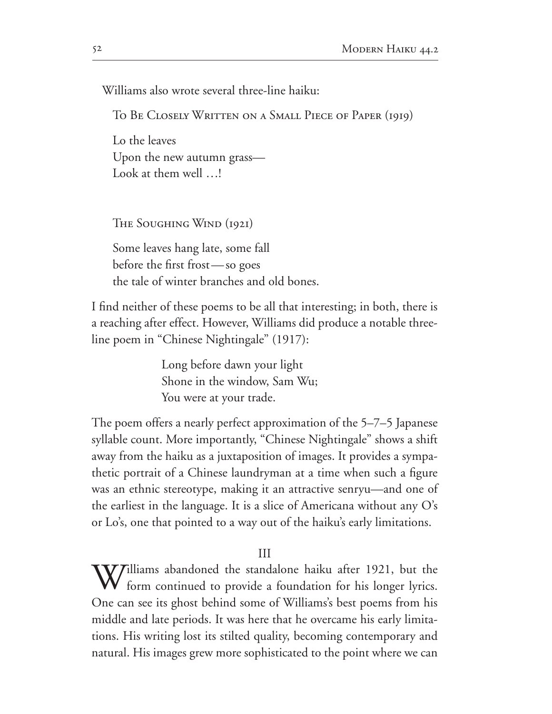Williams also wrote several three-line haiku:

TO BE CLOSELY WRITTEN ON A SMALL PIECE OF PAPER (1919)

Lo the leaves Upon the new autumn grass— Look at them well ...!

THE SOUGHING WIND (1921)

Some leaves hang late, some fall before the first frost - so goes the tale of winter branches and old bones.

I find neither of these poems to be all that interesting; in both, there is a reaching after effect. However, Williams did produce a notable threeline poem in "Chinese Nightingale" (1917):

> Long before dawn your light Shone in the window, Sam Wu; You were at your trade.

The poem offers a nearly perfect approximation of the  $5-7-5$  Japanese syllable count. More importantly, "Chinese Nightingale" shows a shift away from the haiku as a juxtaposition of images. It provides a sympathetic portrait of a Chinese laundryman at a time when such a figure was an ethnic stereotype, making it an attractive senryu—and one of the earliest in the language. It is a slice of Americana without any O's or Lo's, one that pointed to a way out of the haiku's early limitations.

 $III$ 

 $\boldsymbol{V}$ Tilliams abandoned the standalone haiku after 1921, but the form continued to provide a foundation for his longer lyrics. One can see its ghost behind some of Williams's best poems from his middle and late periods. It was here that he overcame his early limitations. His writing lost its stilted quality, becoming contemporary and natural. His images grew more sophisticated to the point where we can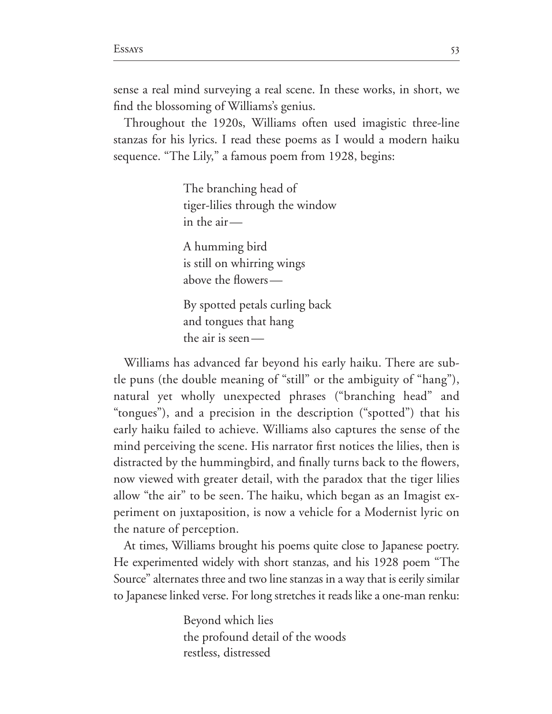sense a real mind surveying a real scene. In these works, in short, we find the blossoming of Williams's genius.

Throughout the 1920s, Williams often used imagistic three-line stanzas for his lyrics. I read these poems as I would a modern haiku sequence. "The Lily," a famous poem from 1928, begins:

> The branching head of tiger-lilies through the window in the air—

A humming bird is still on whirring wings above the flowers—

By spotted petals curling back and tongues that hang the air is seen—

Williams has advanced far beyond his early haiku. There are sub tle puns (the double meaning of "still" or the ambiguity of "hang"), natural yet wholly unexpected phrases ("branching head" and "tongues"), and a precision in the description ("spotted") that his early haiku failed to achieve. Williams also captures the sense of the mind perceiving the scene. His narrator first notices the lilies, then is distracted by the hummingbird, and finally turns back to the flowers, now viewed with greater detail, with the paradox that the tiger lilies allow "the air" to be seen. The haiku, which began as an Imagist experiment on juxtaposition, is now a vehicle for a Modernist lyric on the nature of perception.

At times, Williams brought his poems quite close to Japanese poetry. He experimented widely with short stanzas, and his 1928 poem "The Source" alternates three and two line stanzas in a way that is eerily similar to Japanese linked verse. For long stretches it reads like a one-man renku:

> Beyond which lies the profound detail of the woods restless, distressed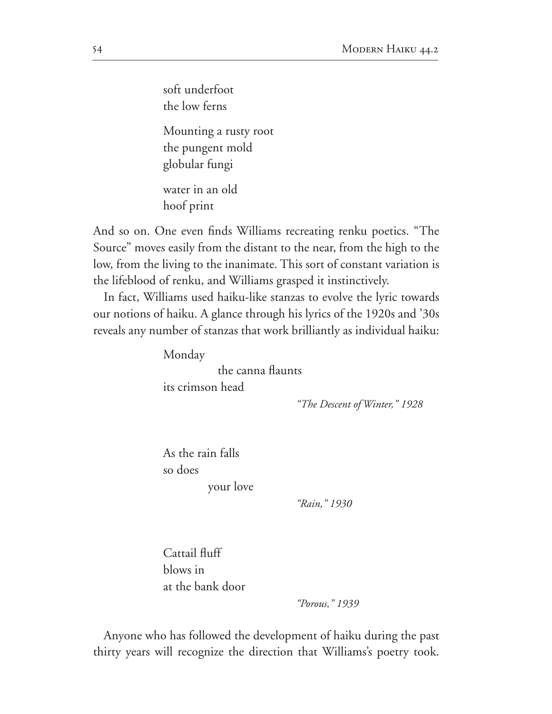soft underfoot the low ferns Mounting a rusty root the pungent mold globular fungi water in an old

hoof print

And so on. One even finds Williams recreating renku poetics. "The Source" moves easily from the distant to the near, from the high to the low, from the living to the inanimate. This sort of constant variation is the lifeblood of renku, and Williams grasped it instinctively.

In fact, Williams used haiku-like stanzas to evolve the lyric towards our notions of haiku. A glance through his lyrics of the 1920s and '30s reveals any number of stanzas that work brilliantly as individual haiku:

Monday

the canna flaunts its crimson head

*"The Descent of Winter," 1928*

As the rain falls so does your love

*"Rain," 1930*

Cattail fluff blows in at the bank door

*"Porous," 1939*

Anyone who has followed the development of haiku during the past thirty years will recognize the direction that Williams's poetry took.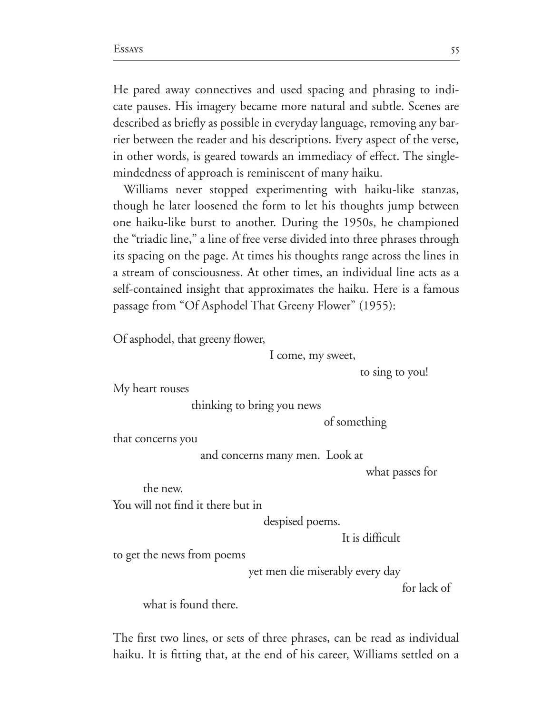He pared away connectives and used spacing and phrasing to indi cate pauses. His imagery became more natural and subtle. Scenes are described as briefly as possible in everyday language, removing any barrier between the reader and his descriptions. Every aspect of the verse, in other words, is geared towards an immediacy of effect. The singlemindedness of approach is reminiscent of many haiku.

Williams never stopped experimenting with haiku-like stanzas, though he later loosened the form to let his thoughts jump between one haiku-like burst to another. During the 1950s, he championed the "triadic line," a line of free verse divided into three phrases through its spacing on the page. At times his thoughts range across the lines in a stream of consciousness. At other times, an individual line acts as a self-contained insight that approximates the haiku. Here is a famous passage from "Of Asphodel That Greeny Flower" (1955):

Of asphodel, that greeny flower,

I come, my sweet,

to sing to you!

My heart rouses

thinking to bring you news

of something

that concerns you

and concerns many men. Look at

what passes for

the new.

You will not find it there but in

despised poems.

It is difficult

to get the news from poems

yet men die miserably every day

for lack of

what is found there.

The first two lines, or sets of three phrases, can be read as individual haiku. It is fitting that, at the end of his career, Williams settled on a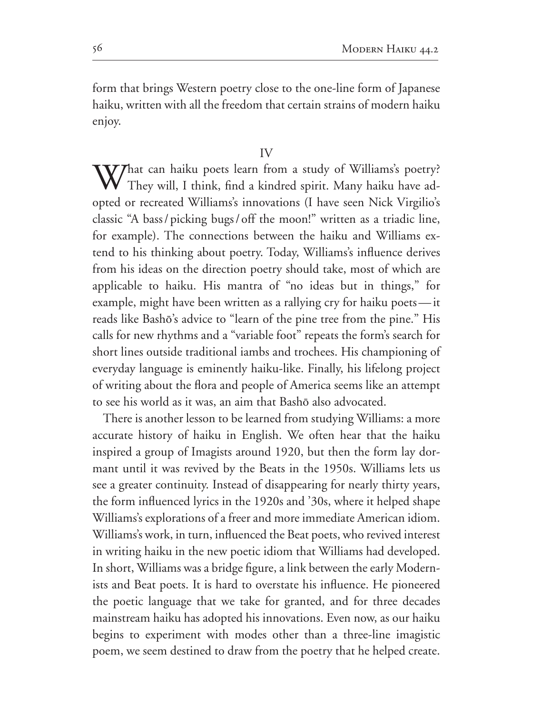form that brings Western poetry close to the one-line form of Japanese haiku, written with all the freedom that certain strains of modern haiku enjoy.

 $\overline{V}$ 

 $\mathbf{W}$ hat can haiku poets learn from a study of Williams's poetry? They will, I think, find a kindred spirit. Many haiku have adopted or recreated Williams's innovations (I have seen Nick Virgilio's classic "A bass / picking bugs / off the moon!" written as a triadic line, for example). The connections between the haiku and Williams extend to his thinking about poetry. Today, Williams's influence derives from his ideas on the direction poetry should take, most of which are applicable to haiku. His mantra of "no ideas but in things," for example, might have been written as a rallying cry for haiku poets—it reads like Bashô's advice to "learn of the pine tree from the pine." His calls for new rhythms and a "variable foot" repeats the form's search for short lines outside traditional iambs and trochees. His championing of everyday language is eminently haiku-like. Finally, his lifelong project of writing about the flora and people of America seems like an attempt to see his world as it was, an aim that Bashô also advocated.

There is another lesson to be learned from studying Williams: a more accurate history of haiku in English. We often hear that the haiku inspired a group of Imagists around 1920, but then the form lay dormant until it was revived by the Beats in the 1950s. Williams lets us see a greater continuity. Instead of disappearing for nearly thirty years, the form influenced lyrics in the 1920s and '30s, where it helped shape Williams's explorations of a freer and more immediate American idiom. Williams's work, in turn, influenced the Beat poets, who revived interest in writing haiku in the new poetic idiom that Williams had developed. In short, Williams was a bridge figure, a link between the early Modernists and Beat poets. It is hard to overstate his influence. He pioneered the poetic language that we take for granted, and for three decades mainstream haiku has adopted his innovations. Even now, as our haiku begins to experiment with modes other than a three-line imagistic poem, we seem destined to draw from the poetry that he helped create.